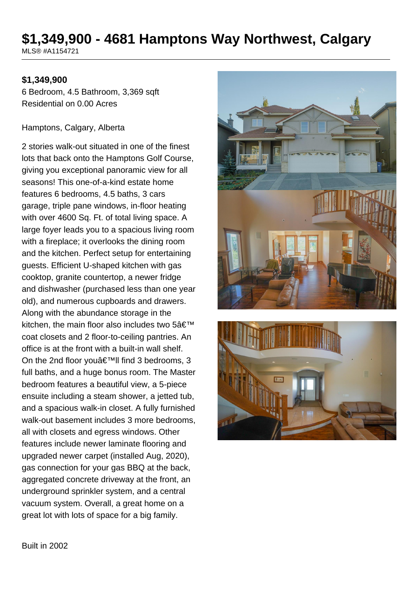# **\$1,349,900 - 4681 Hamptons Way Northwest, Calgary**

MLS® #A1154721

## **\$1,349,900**

6 Bedroom, 4.5 Bathroom, 3,369 sqft Residential on 0.00 Acres

#### Hamptons, Calgary, Alberta

2 stories walk-out situated in one of the finest lots that back onto the Hamptons Golf Course, giving you exceptional panoramic view for all seasons! This one-of-a-kind estate home features 6 bedrooms, 4.5 baths, 3 cars garage, triple pane windows, in-floor heating with over 4600 Sq. Ft. of total living space. A large foyer leads you to a spacious living room with a fireplace; it overlooks the dining room and the kitchen. Perfect setup for entertaining guests. Efficient U-shaped kitchen with gas cooktop, granite countertop, a newer fridge and dishwasher (purchased less than one year old), and numerous cupboards and drawers. Along with the abundance storage in the kitchen, the main floor also includes two  $5\hat{a} \in \text{TM}$ coat closets and 2 floor-to-ceiling pantries. An office is at the front with a built-in wall shelf. On the 2nd floor you $\hat{\mathbf{a}} \in \mathbb{M}$ ll find 3 bedrooms, 3 full baths, and a huge bonus room. The Master bedroom features a beautiful view, a 5-piece ensuite including a steam shower, a jetted tub, and a spacious walk-in closet. A fully furnished walk-out basement includes 3 more bedrooms, all with closets and egress windows. Other features include newer laminate flooring and upgraded newer carpet (installed Aug, 2020), gas connection for your gas BBQ at the back, aggregated concrete driveway at the front, an underground sprinkler system, and a central vacuum system. Overall, a great home on a great lot with lots of space for a big family.





Built in 2002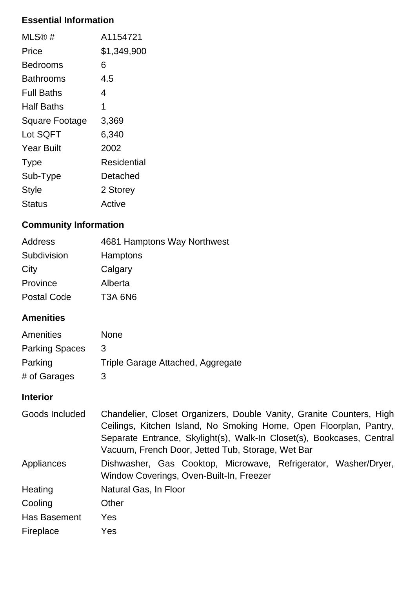## **Essential Information**

| $MLS@$ #              | A1154721    |
|-----------------------|-------------|
| Price                 | \$1,349,900 |
| Bedrooms              | 6           |
| Bathrooms             | 4.5         |
| <b>Full Baths</b>     | 4           |
| Half Baths            | 1           |
| <b>Square Footage</b> | 3,369       |
| Lot SQFT              | 6,340       |
| <b>Year Built</b>     | 2002        |
| <b>Type</b>           | Residential |
| Sub-Type              | Detached    |
| <b>Style</b>          | 2 Storey    |
| Status                | Active      |

# **Community Information**

| Address            | 4681 Hamptons Way Northwest |
|--------------------|-----------------------------|
| Subdivision        | <b>Hamptons</b>             |
| City               | Calgary                     |
| Province           | Alberta                     |
| <b>Postal Code</b> | <b>T3A 6N6</b>              |

## **Amenities**

| Amenities             | <b>None</b>                       |
|-----------------------|-----------------------------------|
| <b>Parking Spaces</b> | 3                                 |
| Parking               | Triple Garage Attached, Aggregate |
| # of Garages          | 3                                 |

# **Interior**

| Goods Included | Chandelier, Closet Organizers, Double Vanity, Granite Counters, High<br>Ceilings, Kitchen Island, No Smoking Home, Open Floorplan, Pantry,<br>Separate Entrance, Skylight(s), Walk-In Closet(s), Bookcases, Central<br>Vacuum, French Door, Jetted Tub, Storage, Wet Bar |
|----------------|--------------------------------------------------------------------------------------------------------------------------------------------------------------------------------------------------------------------------------------------------------------------------|
| Appliances     | Dishwasher, Gas Cooktop, Microwave, Refrigerator, Washer/Dryer,<br>Window Coverings, Oven-Built-In, Freezer                                                                                                                                                              |
| Heating        | Natural Gas, In Floor                                                                                                                                                                                                                                                    |
| Cooling        | Other                                                                                                                                                                                                                                                                    |
| Has Basement   | Yes                                                                                                                                                                                                                                                                      |
| Fireplace      | <b>Yes</b>                                                                                                                                                                                                                                                               |